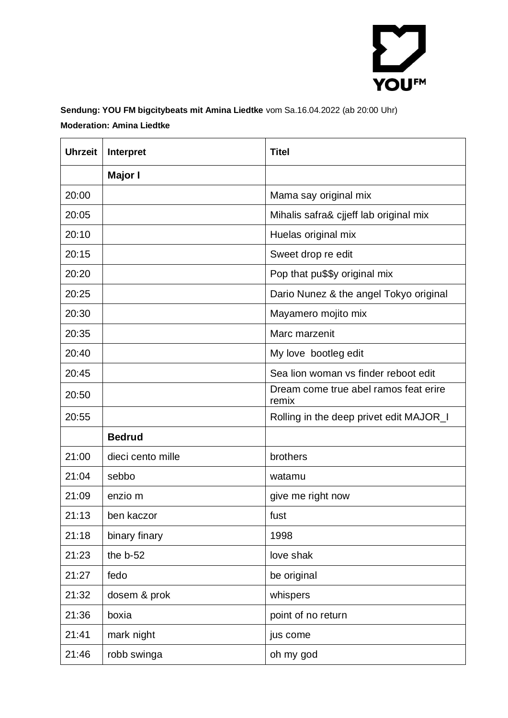

## **Sendung: YOU FM bigcitybeats mit Amina Liedtke** vom Sa.16.04.2022 (ab 20:00 Uhr) **Moderation: Amina Liedtke**

| <b>Uhrzeit</b> | Interpret         | <b>Titel</b>                                   |
|----------------|-------------------|------------------------------------------------|
|                | Major I           |                                                |
| 20:00          |                   | Mama say original mix                          |
| 20:05          |                   | Mihalis safra& cjjeff lab original mix         |
| 20:10          |                   | Huelas original mix                            |
| 20:15          |                   | Sweet drop re edit                             |
| 20:20          |                   | Pop that pu\$\$y original mix                  |
| 20:25          |                   | Dario Nunez & the angel Tokyo original         |
| 20:30          |                   | Mayamero mojito mix                            |
| 20:35          |                   | Marc marzenit                                  |
| 20:40          |                   | My love bootleg edit                           |
| 20:45          |                   | Sea lion woman vs finder reboot edit           |
| 20:50          |                   | Dream come true abel ramos feat erire<br>remix |
| 20:55          |                   | Rolling in the deep privet edit MAJOR_I        |
|                | <b>Bedrud</b>     |                                                |
| 21:00          | dieci cento mille | brothers                                       |
| 21:04          | sebbo             | watamu                                         |
| 21:09          | enzio m           | give me right now                              |
| 21:13          | ben kaczor        | fust                                           |
| 21:18          | binary finary     | 1998                                           |
| 21:23          | the b-52          | love shak                                      |
| 21:27          | fedo              | be original                                    |
| 21:32          | dosem & prok      | whispers                                       |
| 21:36          | boxia             | point of no return                             |
| 21:41          | mark night        | jus come                                       |
| 21:46          | robb swinga       | oh my god                                      |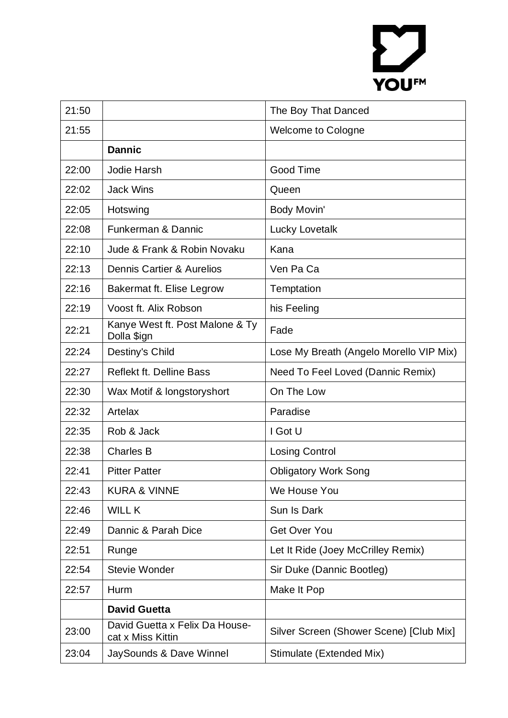## YOUFM

| 21:50 |                                                     | The Boy That Danced                     |
|-------|-----------------------------------------------------|-----------------------------------------|
| 21:55 |                                                     | Welcome to Cologne                      |
|       | <b>Dannic</b>                                       |                                         |
| 22:00 | Jodie Harsh                                         | Good Time                               |
| 22:02 | <b>Jack Wins</b>                                    | Queen                                   |
| 22:05 | Hotswing                                            | Body Movin'                             |
| 22:08 | Funkerman & Dannic                                  | Lucky Lovetalk                          |
| 22:10 | Jude & Frank & Robin Novaku                         | Kana                                    |
| 22:13 | Dennis Cartier & Aurelios                           | Ven Pa Ca                               |
| 22:16 | Bakermat ft. Elise Legrow                           | Temptation                              |
| 22:19 | Voost ft. Alix Robson                               | his Feeling                             |
| 22:21 | Kanye West ft. Post Malone & Ty<br>Dolla \$ign      | Fade                                    |
| 22:24 | Destiny's Child                                     | Lose My Breath (Angelo Morello VIP Mix) |
| 22:27 | <b>Reflekt ft. Delline Bass</b>                     | Need To Feel Loved (Dannic Remix)       |
| 22:30 | Wax Motif & longstoryshort                          | On The Low                              |
|       |                                                     |                                         |
| 22:32 | Artelax                                             | Paradise                                |
| 22:35 | Rob & Jack                                          | I Got U                                 |
| 22:38 | <b>Charles B</b>                                    | <b>Losing Control</b>                   |
| 22:41 | <b>Pitter Patter</b>                                | <b>Obligatory Work Song</b>             |
| 22:43 | <b>KURA &amp; VINNE</b>                             | We House You                            |
| 22:46 | <b>WILL K</b>                                       | Sun Is Dark                             |
| 22:49 | Dannic & Parah Dice                                 | Get Over You                            |
| 22:51 | Runge                                               | Let It Ride (Joey McCrilley Remix)      |
| 22:54 | <b>Stevie Wonder</b>                                | Sir Duke (Dannic Bootleg)               |
| 22:57 | Hurm                                                | Make It Pop                             |
|       | <b>David Guetta</b>                                 |                                         |
| 23:00 | David Guetta x Felix Da House-<br>cat x Miss Kittin | Silver Screen (Shower Scene) [Club Mix] |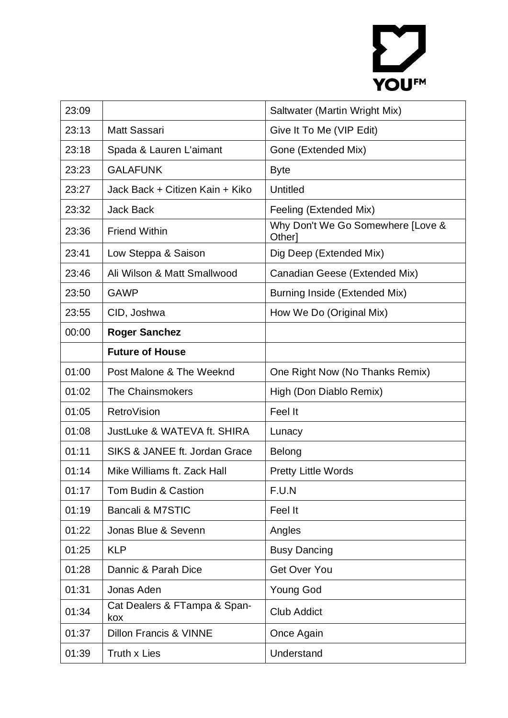## YOUFM

| 23:09 |                                   | Saltwater (Martin Wright Mix)               |
|-------|-----------------------------------|---------------------------------------------|
| 23:13 | Matt Sassari                      | Give It To Me (VIP Edit)                    |
| 23:18 | Spada & Lauren L'aimant           | Gone (Extended Mix)                         |
| 23:23 | <b>GALAFUNK</b>                   | <b>Byte</b>                                 |
| 23:27 | Jack Back + Citizen Kain + Kiko   | <b>Untitled</b>                             |
| 23:32 | <b>Jack Back</b>                  | Feeling (Extended Mix)                      |
| 23:36 | <b>Friend Within</b>              | Why Don't We Go Somewhere [Love &<br>Other] |
| 23:41 | Low Steppa & Saison               | Dig Deep (Extended Mix)                     |
| 23:46 | Ali Wilson & Matt Smallwood       | Canadian Geese (Extended Mix)               |
| 23:50 | <b>GAWP</b>                       | Burning Inside (Extended Mix)               |
| 23:55 | CID, Joshwa                       | How We Do (Original Mix)                    |
| 00:00 | <b>Roger Sanchez</b>              |                                             |
|       | <b>Future of House</b>            |                                             |
| 01:00 | Post Malone & The Weeknd          | One Right Now (No Thanks Remix)             |
| 01:02 | <b>The Chainsmokers</b>           | High (Don Diablo Remix)                     |
| 01:05 | RetroVision                       | Feel It                                     |
| 01:08 | JustLuke & WATEVA ft. SHIRA       | Lunacy                                      |
| 01:11 | SIKS & JANEE ft. Jordan Grace     | Belong                                      |
| 01:14 | Mike Williams ft. Zack Hall       | <b>Pretty Little Words</b>                  |
| 01:17 | Tom Budin & Castion               | F.U.N                                       |
| 01:19 | Bancali & M7STIC                  | Feel It                                     |
| 01:22 | Jonas Blue & Sevenn               | Angles                                      |
| 01:25 | <b>KLP</b>                        | <b>Busy Dancing</b>                         |
| 01:28 | Dannic & Parah Dice               | Get Over You                                |
| 01:31 | Jonas Aden                        | <b>Young God</b>                            |
| 01:34 | Cat Dealers & FTampa & Span-      | <b>Club Addict</b>                          |
|       | kox                               |                                             |
| 01:37 | <b>Dillon Francis &amp; VINNE</b> | Once Again                                  |